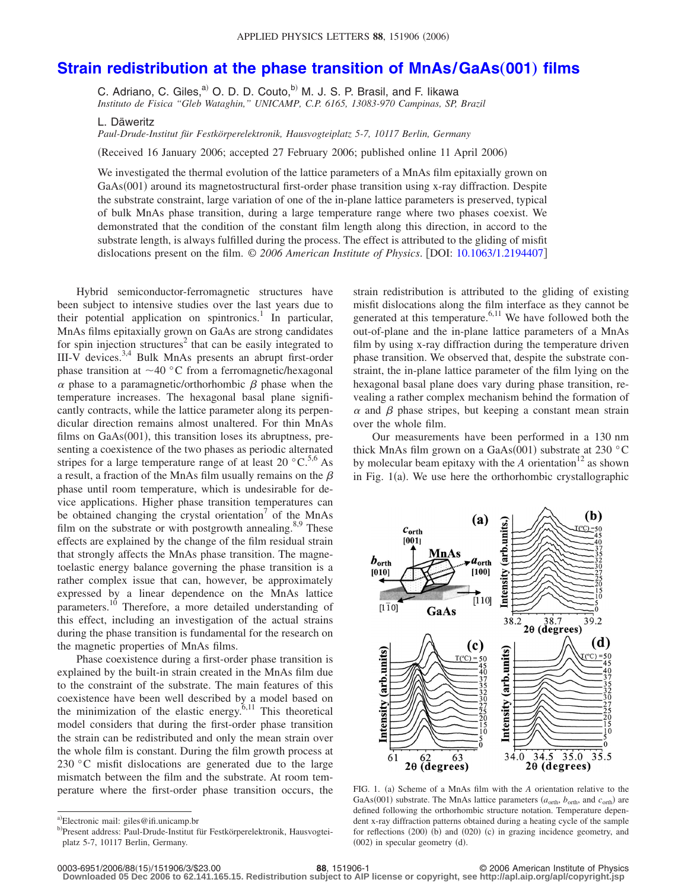## **[Strain redistribution at the phase transition of MnAs/GaAs](http://dx.doi.org/10.1063/1.2194407)(001) films**

C. Adriano, C. Giles, $^{a)}$  O. D. D. Couto, $^{b)}$  M. J. S. P. Brasil, and F. Iikawa *Instituto de Fisica "Gleb Wataghin," UNICAMP, C.P. 6165, 13083-970 Campinas, SP, Brazil*

L. Däweritz

*Paul-Drude-Institut für Festkörperelektronik, Hausvogteiplatz 5-7, 10117 Berlin, Germany*

(Received 16 January 2006; accepted 27 February 2006; published online 11 April 2006)

We investigated the thermal evolution of the lattice parameters of a MnAs film epitaxially grown on GaAs(001) around its magnetostructural first-order phase transition using x-ray diffraction. Despite the substrate constraint, large variation of one of the in-plane lattice parameters is preserved, typical of bulk MnAs phase transition, during a large temperature range where two phases coexist. We demonstrated that the condition of the constant film length along this direction, in accord to the substrate length, is always fulfilled during the process. The effect is attributed to the gliding of misfit dislocations present on the film. © *2006 American Institute of Physics*. DOI: [10.1063/1.2194407](http://dx.doi.org/10.1063/1.2194407)

Hybrid semiconductor-ferromagnetic structures have been subject to intensive studies over the last years due to their potential application on spintronics.<sup>1</sup> In particular, MnAs films epitaxially grown on GaAs are strong candidates for spin injection structures<sup>2</sup> that can be easily integrated to III-V devices.3,4 Bulk MnAs presents an abrupt first-order phase transition at  $\sim$ 40 °C from a ferromagnetic/hexagonal  $\alpha$  phase to a paramagnetic/orthorhombic  $\beta$  phase when the temperature increases. The hexagonal basal plane significantly contracts, while the lattice parameter along its perpendicular direction remains almost unaltered. For thin MnAs films on  $GaAs(001)$ , this transition loses its abruptness, presenting a coexistence of the two phases as periodic alternated stripes for a large temperature range of at least 20  $\degree$ C.<sup>5,6</sup> As a result, a fraction of the MnAs film usually remains on the  $\beta$ phase until room temperature, which is undesirable for device applications. Higher phase transition temperatures can be obtained changing the crystal orientation<sup>7</sup> of the MnAs film on the substrate or with postgrowth annealing.<sup>8,9</sup> These effects are explained by the change of the film residual strain that strongly affects the MnAs phase transition. The magnetoelastic energy balance governing the phase transition is a rather complex issue that can, however, be approximately expressed by a linear dependence on the MnAs lattice parameters.10 Therefore, a more detailed understanding of this effect, including an investigation of the actual strains during the phase transition is fundamental for the research on the magnetic properties of MnAs films.

Phase coexistence during a first-order phase transition is explained by the built-in strain created in the MnAs film due to the constraint of the substrate. The main features of this coexistence have been well described by a model based on the minimization of the elastic energy.<sup>6,11</sup> This theoretical model considers that during the first-order phase transition the strain can be redistributed and only the mean strain over the whole film is constant. During the film growth process at 230 °C misfit dislocations are generated due to the large mismatch between the film and the substrate. At room temperature where the first-order phase transition occurs, the

strain redistribution is attributed to the gliding of existing misfit dislocations along the film interface as they cannot be generated at this temperature.<sup>6,11</sup> We have followed both the out-of-plane and the in-plane lattice parameters of a MnAs film by using x-ray diffraction during the temperature driven phase transition. We observed that, despite the substrate constraint, the in-plane lattice parameter of the film lying on the hexagonal basal plane does vary during phase transition, revealing a rather complex mechanism behind the formation of  $\alpha$  and  $\beta$  phase stripes, but keeping a constant mean strain over the whole film.

Our measurements have been performed in a 130 nm thick MnAs film grown on a GaAs(001) substrate at 230 °C by molecular beam epitaxy with the  $A$  orientation<sup>12</sup> as shown in Fig. 1(a). We use here the orthorhombic crystallographic



FIG. 1. (a) Scheme of a MnAs film with the *A* orientation relative to the GaAs(001) substrate. The MnAs lattice parameters  $(a_{\text{orth}}, b_{\text{orth}},$  and  $c_{\text{orth}})$  are defined following the orthorhombic structure notation. Temperature dependent x-ray diffraction patterns obtained during a heating cycle of the sample for reflections (200) (b) and (020) (c) in grazing incidence geometry, and  $(002)$  in specular geometry  $(d)$ .

**Downloaded 05 Dec 2006 to 62.141.165.15. Redistribution subject to AIP license or copyright, see http://apl.aip.org/apl/copyright.jsp**

a)Electronic mail: giles@ifi.unicamp.br

<sup>&</sup>lt;sup>b)</sup>Present address: Paul-Drude-Institut für Festkörperelektronik, Hausvogteiplatz 5-7, 10117 Berlin, Germany.

<sup>151906-1</sup> **88**, 151906-1 **88**, 151906-1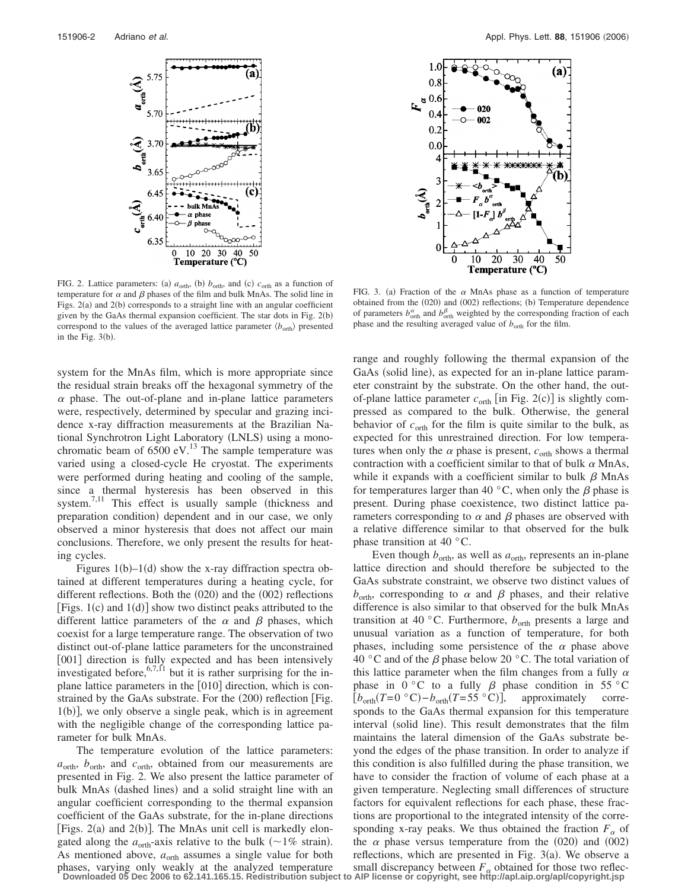

FIG. 2. Lattice parameters: (a)  $a_{\text{orth}}$ , (b)  $b_{\text{orth}}$ , and (c)  $c_{\text{orth}}$  as a function of temperature for  $\alpha$  and  $\beta$  phases of the film and bulk MnAs. The solid line in Figs. 2(a) and 2(b) corresponds to a straight line with an angular coefficient given by the GaAs thermal expansion coefficient. The star dots in Fig. 2(b) correspond to the values of the averaged lattice parameter  $\langle b_{\text{orth}} \rangle$  presented in the Fig.  $3(b)$ .

system for the MnAs film, which is more appropriate since the residual strain breaks off the hexagonal symmetry of the  $\alpha$  phase. The out-of-plane and in-plane lattice parameters were, respectively, determined by specular and grazing incidence x-ray diffraction measurements at the Brazilian National Synchrotron Light Laboratory (LNLS) using a monochromatic beam of  $6500$  eV.<sup>13</sup> The sample temperature was varied using a closed-cycle He cryostat. The experiments were performed during heating and cooling of the sample, since a thermal hysteresis has been observed in this system. $^{7,11}$  This effect is usually sample (thickness and preparation condition) dependent and in our case, we only observed a minor hysteresis that does not affect our main conclusions. Therefore, we only present the results for heating cycles.

Figures  $1(b) - 1(d)$  show the x-ray diffraction spectra obtained at different temperatures during a heating cycle, for different reflections. Both the  $(020)$  and the  $(002)$  reflections [Figs.  $1(c)$  and  $1(d)$ ] show two distinct peaks attributed to the different lattice parameters of the  $\alpha$  and  $\beta$  phases, which coexist for a large temperature range. The observation of two distinct out-of-plane lattice parameters for the unconstrained [001] direction is fully expected and has been intensively investigated before,  $6,7,11$  but it is rather surprising for the inplane lattice parameters in the [010] direction, which is constrained by the GaAs substrate. For the (200) reflection [Fig. 1(b)], we only observe a single peak, which is in agreement with the negligible change of the corresponding lattice parameter for bulk MnAs.

The temperature evolution of the lattice parameters: *a*orth, *b*orth, and *c*orth, obtained from our measurements are presented in Fig. 2. We also present the lattice parameter of bulk MnAs (dashed lines) and a solid straight line with an angular coefficient corresponding to the thermal expansion coefficient of the GaAs substrate, for the in-plane directions [Figs. 2(a) and 2(b)]. The MnAs unit cell is markedly elongated along the  $a_{\text{orth}}$ -axis relative to the bulk ( $\sim$ 1% strain). As mentioned above,  $a_{\text{orth}}$  assumes a single value for both phases, varying only weakly at the analyzed temperature



FIG. 3. (a) Fraction of the  $\alpha$  MnAs phase as a function of temperature obtained from the (020) and (002) reflections; (b) Temperature dependence of parameters  $b_{\text{orth}}^{\alpha}$  and  $b_{\text{orth}}^{\beta}$  weighted by the corresponding fraction of each phase and the resulting averaged value of  $b_{\text{orth}}$  for the film.

range and roughly following the thermal expansion of the GaAs (solid line), as expected for an in-plane lattice parameter constraint by the substrate. On the other hand, the outof-plane lattice parameter  $c_{\text{orth}}$  [in Fig. 2(c)] is slightly compressed as compared to the bulk. Otherwise, the general behavior of  $c_{\text{orth}}$  for the film is quite similar to the bulk, as expected for this unrestrained direction. For low temperatures when only the  $\alpha$  phase is present,  $c_{\text{orth}}$  shows a thermal contraction with a coefficient similar to that of bulk  $\alpha$  MnAs, while it expands with a coefficient similar to bulk  $\beta$  MnAs for temperatures larger than 40  $^{\circ}$ C, when only the  $\beta$  phase is present. During phase coexistence, two distinct lattice parameters corresponding to  $\alpha$  and  $\beta$  phases are observed with a relative difference similar to that observed for the bulk phase transition at 40 °C.

Even though  $b_{\text{orth}}$ , as well as  $a_{\text{orth}}$ , represents an in-plane lattice direction and should therefore be subjected to the GaAs substrate constraint, we observe two distinct values of  $b<sub>orth</sub>$ , corresponding to  $\alpha$  and  $\beta$  phases, and their relative difference is also similar to that observed for the bulk MnAs transition at 40 °C. Furthermore,  $b<sub>orth</sub>$  presents a large and unusual variation as a function of temperature, for both phases, including some persistence of the  $\alpha$  phase above 40 °C and of the  $\beta$  phase below 20 °C. The total variation of this lattice parameter when the film changes from a fully  $\alpha$ phase in  $0^{\circ}$ C to a fully  $\beta$  phase condition in 55 °C  $[b_{\text{orth}}(T=0 \text{ }^{\circ}C)-b_{\text{orth}}(T=55 \text{ }^{\circ}C)],$  approximately corresponds to the GaAs thermal expansion for this temperature interval (solid line). This result demonstrates that the film maintains the lateral dimension of the GaAs substrate beyond the edges of the phase transition. In order to analyze if this condition is also fulfilled during the phase transition, we have to consider the fraction of volume of each phase at a given temperature. Neglecting small differences of structure factors for equivalent reflections for each phase, these fractions are proportional to the integrated intensity of the corresponding x-ray peaks. We thus obtained the fraction  $F_{\alpha}$  of the  $\alpha$  phase versus temperature from the (020) and (002) reflections, which are presented in Fig.  $3(a)$ . We observe a

phases, varying only weakly at the analyzed temperature small discrepancy between  $F_{\alpha}$  obtained for those two reflec-<br>Downloaded 05 Dec 2006 to 62.141.165.15. Redistribution subject to AIP license or copyright, see htt